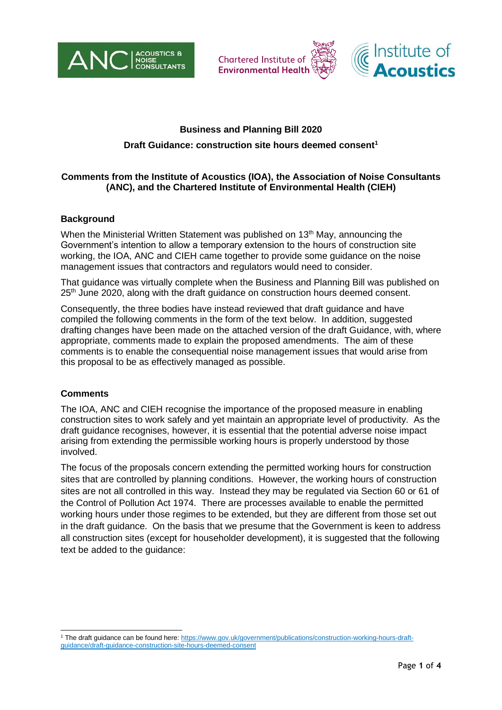





# **Business and Planning Bill 2020**

## **Draft Guidance: construction site hours deemed consent<sup>1</sup>**

#### **Comments from the Institute of Acoustics (IOA), the Association of Noise Consultants (ANC), and the Chartered Institute of Environmental Health (CIEH)**

#### **Background**

When the Ministerial Written Statement was published on 13<sup>th</sup> May, announcing the Government's intention to allow a temporary extension to the hours of construction site working, the IOA, ANC and CIEH came together to provide some guidance on the noise management issues that contractors and regulators would need to consider.

That guidance was virtually complete when the Business and Planning Bill was published on 25<sup>th</sup> June 2020, along with the draft guidance on construction hours deemed consent.

Consequently, the three bodies have instead reviewed that draft guidance and have compiled the following comments in the form of the text below. In addition, suggested drafting changes have been made on the attached version of the draft Guidance, with, where appropriate, comments made to explain the proposed amendments. The aim of these comments is to enable the consequential noise management issues that would arise from this proposal to be as effectively managed as possible.

#### **Comments**

The IOA, ANC and CIEH recognise the importance of the proposed measure in enabling construction sites to work safely and yet maintain an appropriate level of productivity. As the draft guidance recognises, however, it is essential that the potential adverse noise impact arising from extending the permissible working hours is properly understood by those involved.

The focus of the proposals concern extending the permitted working hours for construction sites that are controlled by planning conditions. However, the working hours of construction sites are not all controlled in this way. Instead they may be regulated via Section 60 or 61 of the Control of Pollution Act 1974. There are processes available to enable the permitted working hours under those regimes to be extended, but they are different from those set out in the draft guidance. On the basis that we presume that the Government is keen to address all construction sites (except for householder development), it is suggested that the following text be added to the guidance:

<sup>1</sup> The draft guidance can be found here: [https://www.gov.uk/government/publications/construction-working-hours-draft](https://www.gov.uk/government/publications/construction-working-hours-draft-guidance/draft-guidance-construction-site-hours-deemed-consent)[guidance/draft-guidance-construction-site-hours-deemed-consent](https://www.gov.uk/government/publications/construction-working-hours-draft-guidance/draft-guidance-construction-site-hours-deemed-consent)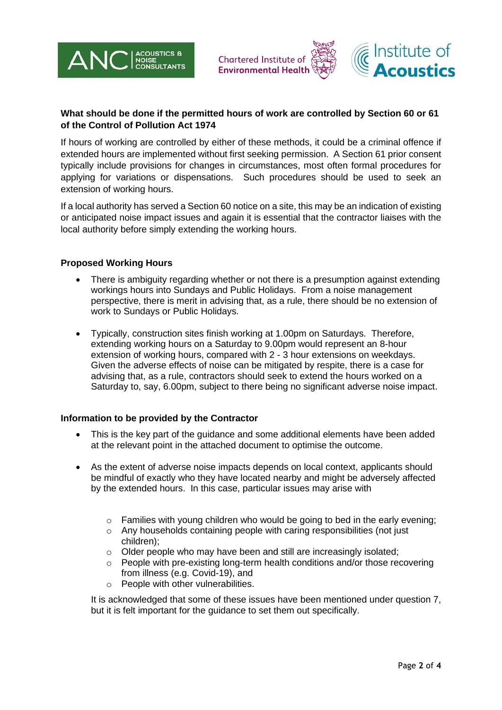



# **What should be done if the permitted hours of work are controlled by Section 60 or 61 of the Control of Pollution Act 1974**

If hours of working are controlled by either of these methods, it could be a criminal offence if extended hours are implemented without first seeking permission. A Section 61 prior consent typically include provisions for changes in circumstances, most often formal procedures for applying for variations or dispensations. Such procedures should be used to seek an extension of working hours.

If a local authority has served a Section 60 notice on a site, this may be an indication of existing or anticipated noise impact issues and again it is essential that the contractor liaises with the local authority before simply extending the working hours.

## **Proposed Working Hours**

- There is ambiguity regarding whether or not there is a presumption against extending workings hours into Sundays and Public Holidays. From a noise management perspective, there is merit in advising that, as a rule, there should be no extension of work to Sundays or Public Holidays.
- Typically, construction sites finish working at 1.00pm on Saturdays. Therefore, extending working hours on a Saturday to 9.00pm would represent an 8-hour extension of working hours, compared with 2 - 3 hour extensions on weekdays. Given the adverse effects of noise can be mitigated by respite, there is a case for advising that, as a rule, contractors should seek to extend the hours worked on a Saturday to, say, 6.00pm, subject to there being no significant adverse noise impact.

## **Information to be provided by the Contractor**

- This is the key part of the guidance and some additional elements have been added at the relevant point in the attached document to optimise the outcome.
- As the extent of adverse noise impacts depends on local context, applicants should be mindful of exactly who they have located nearby and might be adversely affected by the extended hours. In this case, particular issues may arise with
	- $\circ$  Families with young children who would be going to bed in the early evening;
	- o Any households containing people with caring responsibilities (not just children);
	- o Older people who may have been and still are increasingly isolated;
	- People with pre-existing long-term health conditions and/or those recovering from illness (e.g. Covid-19), and
	- o People with other vulnerabilities.

It is acknowledged that some of these issues have been mentioned under question 7, but it is felt important for the guidance to set them out specifically.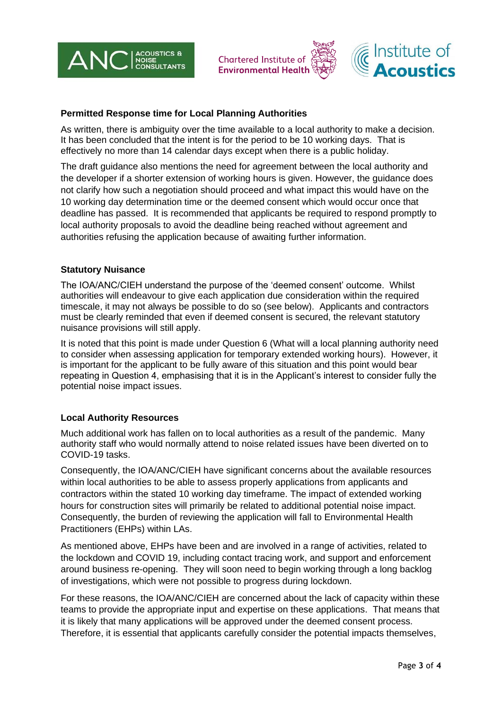





## **Permitted Response time for Local Planning Authorities**

As written, there is ambiguity over the time available to a local authority to make a decision. It has been concluded that the intent is for the period to be 10 working days. That is effectively no more than 14 calendar days except when there is a public holiday.

The draft guidance also mentions the need for agreement between the local authority and the developer if a shorter extension of working hours is given. However, the guidance does not clarify how such a negotiation should proceed and what impact this would have on the 10 working day determination time or the deemed consent which would occur once that deadline has passed. It is recommended that applicants be required to respond promptly to local authority proposals to avoid the deadline being reached without agreement and authorities refusing the application because of awaiting further information.

## **Statutory Nuisance**

The IOA/ANC/CIEH understand the purpose of the 'deemed consent' outcome. Whilst authorities will endeavour to give each application due consideration within the required timescale, it may not always be possible to do so (see below). Applicants and contractors must be clearly reminded that even if deemed consent is secured, the relevant statutory nuisance provisions will still apply.

It is noted that this point is made under Question 6 (What will a local planning authority need to consider when assessing application for temporary extended working hours). However, it is important for the applicant to be fully aware of this situation and this point would bear repeating in Question 4, emphasising that it is in the Applicant's interest to consider fully the potential noise impact issues.

#### **Local Authority Resources**

Much additional work has fallen on to local authorities as a result of the pandemic. Many authority staff who would normally attend to noise related issues have been diverted on to COVID-19 tasks.

Consequently, the IOA/ANC/CIEH have significant concerns about the available resources within local authorities to be able to assess properly applications from applicants and contractors within the stated 10 working day timeframe. The impact of extended working hours for construction sites will primarily be related to additional potential noise impact. Consequently, the burden of reviewing the application will fall to Environmental Health Practitioners (EHPs) within LAs.

As mentioned above, EHPs have been and are involved in a range of activities, related to the lockdown and COVID 19, including contact tracing work, and support and enforcement around business re-opening. They will soon need to begin working through a long backlog of investigations, which were not possible to progress during lockdown.

For these reasons, the IOA/ANC/CIEH are concerned about the lack of capacity within these teams to provide the appropriate input and expertise on these applications. That means that it is likely that many applications will be approved under the deemed consent process. Therefore, it is essential that applicants carefully consider the potential impacts themselves,